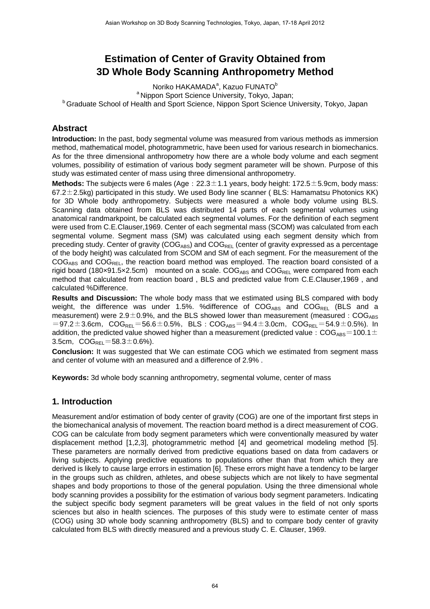# **Estimation of Center of Gravity Obtained from 3D Whole Body Scanning Anthropometry Method**

Noriko HAKAMADA<sup>a</sup>, Kazuo FUNATO<sup>b</sup> <sup>a</sup> Nippon Sport Science University, Tokyo, Japan; **b** Graduate School of Health and Sport Science, Nippon Sport Science University, Tokyo, Japan

### **Abstract**

**Introduction:** In the past, body segmental volume was measured from various methods as immersion method, mathematical model, photogrammetric, have been used for various research in biomechanics. As for the three dimensional anthropometry how there are a whole body volume and each segment volumes, possibility of estimation of various body segment parameter will be shown. Purpose of this study was estimated center of mass using three dimensional anthropometry.

**Methods:** The subjects were 6 males (Age: 22.3±1.1 years, body height: 172.5±5.9cm, body mass: 67.2 $\pm$ 2.5kg) participated in this study. We used Body line scanner (BLS: Hamamatsu Photonics KK) for 3D Whole body anthropometry. Subjects were measured a whole body volume using BLS. Scanning data obtained from BLS was distributed 14 parts of each segmental volumes using anatomical randmarkpoint, be calculated each segmental volumes. For the definition of each segment were used from C.E.Clauser,1969. Center of each segmental mass (SCOM) was calculated from each segmental volume. Segment mass (SM) was calculated using each segment density which from preceding study. Center of gravity ( $COG_{ABS}$ ) and  $COG_{REL}$  (center of gravity expressed as a percentage of the body height) was calculated from SCOM and SM of each segment. For the measurement of the  $COG_{ABS}$  and  $COG_{REL}$ , the reaction board method was employed. The reaction board consisted of a rigid board (180×91.5×2.5cm) mounted on a scale.  $COG_{ABS}$  and  $COG_{REL}$  were compared from each method that calculated from reaction board , BLS and predicted value from C.E.Clauser,1969 , and calculated %Difference.

**Results and Discussion:** The whole body mass that we estimated using BLS compared with body weight, the difference was under 1.5%. % difference of  $COG_{ABS}$  and  $COG_{REL}$  (BLS and a measurement) were  $2.9\pm0.9\%$ , and the BLS showed lower than measurement (measured: COG<sub>ABS</sub>)  $=97.2\pm3.6$ cm, COG<sub>REL</sub>=56.6 $\pm$ 0.5%, BLS: COG<sub>ABS</sub>=94.4 $\pm$ 3.0cm, COG<sub>REL</sub>=54.9 $\pm$ 0.5%). In addition, the predicted value showed higher than a measurement (predicted value: COGABS=100.1 $\pm$ 3.5cm,  $COG_{RFI} = 58.3 \pm 0.6\%$ ).

**Conclusion:** It was suggested that We can estimate COG which we estimated from segment mass and center of volume with an measured and a difference of 2.9% .

**Keywords:** 3d whole body scanning anthropometry, segmental volume, center of mass

## **1. Introduction**

Measurement and/or estimation of body center of gravity (COG) are one of the important first steps in the biomechanical analysis of movement. The reaction board method is a direct measurement of COG. COG can be calculate from body segment parameters which were conventionally measured by water displacement method [1,2,3], photogrammetric method [4] and geometrical modeling method [5]. These parameters are normally derived from predictive equations based on data from cadavers or living subjects. Applying predictive equations to populations other than that from which they are derived is likely to cause large errors in estimation [6]. These errors might have a tendency to be larger in the groups such as children, athletes, and obese subjects which are not likely to have segmental shapes and body proportions to those of the general population. Using the three dimensional whole body scanning provides a possibility for the estimation of various body segment parameters. Indicating the subject specific body segment parameters will be great values in the field of not only sports sciences but also in health sciences. The purposes of this study were to estimate center of mass (COG) using 3D whole body scanning anthropometry (BLS) and to compare body center of gravity calculated from BLS with directly measured and a previous study C. E. Clauser, 1969.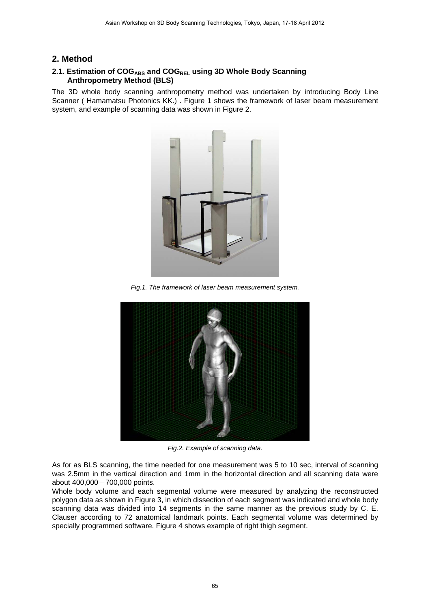### **2. Method**

#### 2.1. Estimation of COG<sub>ABS</sub> and COG<sub>REL</sub> using 3D Whole Body Scanning  **Anthropometry Method (BLS)**

The 3D whole body scanning anthropometry method was undertaken by introducing Body Line Scanner ( Hamamatsu Photonics KK.) . Figure 1 shows the framework of laser beam measurement system, and example of scanning data was shown in Figure 2.



*Fig.1. The framework of laser beam measurement system.* 



*Fig.2. Example of scanning data.* 

As for as BLS scanning, the time needed for one measurement was 5 to 10 sec, interval of scanning was 2.5mm in the vertical direction and 1mm in the horizontal direction and all scanning data were about 400,000-700,000 points.

Whole body volume and each segmental volume were measured by analyzing the reconstructed polygon data as shown in Figure 3, in which dissection of each segment was indicated and whole body scanning data was divided into 14 segments in the same manner as the previous study by C. E. Clauser according to 72 anatomical landmark points. Each segmental volume was determined by specially programmed software. Figure 4 shows example of right thigh segment.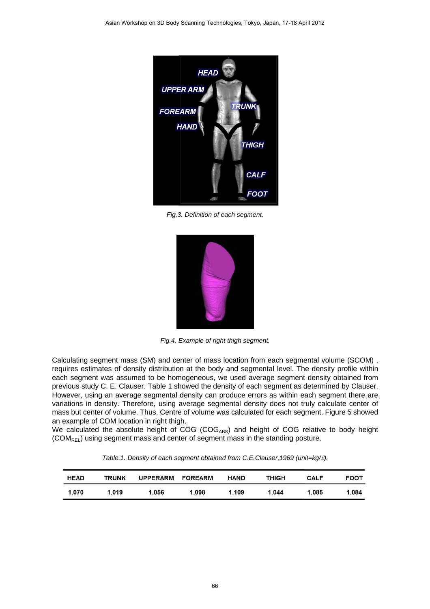

*Fig.3. Definition of each segment.*



*Fig.4. Example of right thigh segment.* 

Calculating segment mass (SM) and center of mass location from each segmental volume (SCOM) , requires estimates of density distribution at the body and segmental level. The density profile within each segment was assumed to be homogeneous, we used average segment density obtained from previous study C. E. Clauser. Table 1 showed the density of each segment as determined by Clauser. However, using an average segmental density can produce errors as within each segment there are variations in density. Therefore, using average segmental density does not truly calculate center of mass but center of volume. Thus, Centre of volume was calculated for each segment. Figure 5 showed an example of COM location in right thigh.

We calculated the absolute height of  $COG_{ABS}$ ) and height of COG relative to body height (COM<sub>REL</sub>) using segment mass and center of segment mass in the standing posture.

*Table.1. Density of each segment obtained from C.E.Clauser,1969 (unit=kg/*ℓ*).*

| <b>HEAD</b> | <b>TRUNK</b> | UPPERARM FOREARM |       | <b>HAND</b> | THIGH | CALF  | <b>FOOT</b> |
|-------------|--------------|------------------|-------|-------------|-------|-------|-------------|
| 1.070       | 1.019        | 1.056            | 1.098 | 1.109       | 1.044 | 1.085 | 1.084       |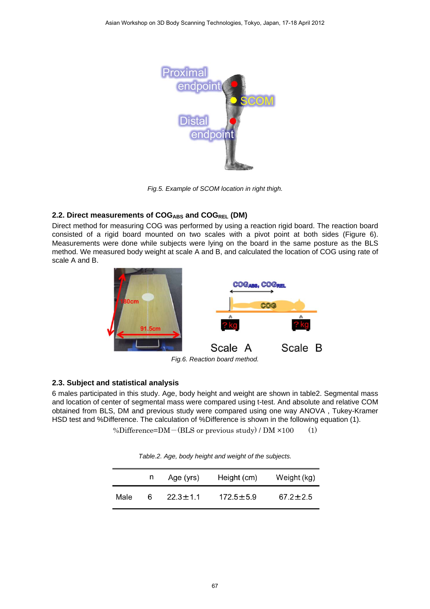

*Fig.5. Example of SCOM location in right thigh.*

### 2.2. Direct measurements of COG<sub>ABS</sub> and COG<sub>REL</sub> (DM)

Direct method for measuring COG was performed by using a reaction rigid board. The reaction board consisted of a rigid board mounted on two scales with a pivot point at both sides (Figure 6). Measurements were done while subjects were lying on the board in the same posture as the BLS method. We measured body weight at scale A and B, and calculated the location of COG using rate of scale A and B.



*Fig.6. Reaction board method.* 

#### **2.3. Subject and statistical analysis**

6 males participated in this study. Age, body height and weight are shown in table2. Segmental mass and location of center of segmental mass were compared using t-test. And absolute and relative COM obtained from BLS, DM and previous study were compared using one way ANOVA , Tukey-Kramer HSD test and %Difference. The calculation of %Difference is shown in the following equation (1).

%Difference=DM $-(BLS \text{ or previous study}) / DM \times 100$  (1)

|      | n | Age (yrs)      | Height (cm)     | Weight (kg)    |
|------|---|----------------|-----------------|----------------|
| Male | Ⴌ | $22.3 \pm 1.1$ | $172.5 \pm 5.9$ | $67.2 \pm 2.5$ |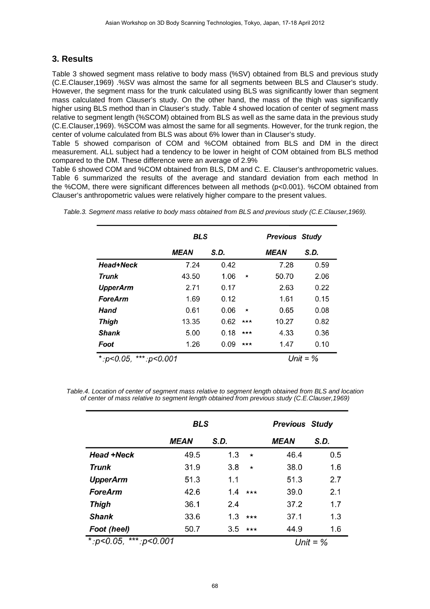# **3. Results**

Table 3 showed segment mass relative to body mass (%SV) obtained from BLS and previous study (C.E.Clauser,1969) .%SV was almost the same for all segments between BLS and Clauser's study. However, the segment mass for the trunk calculated using BLS was significantly lower than segment mass calculated from Clauser's study. On the other hand, the mass of the thigh was significantly higher using BLS method than in Clauser's study. Table 4 showed location of center of segment mass relative to segment length (%SCOM) obtained from BLS as well as the same data in the previous study (C.E.Clauser,1969). %SCOM was almost the same for all segments. However, for the trunk region, the center of volume calculated from BLS was about 6% lower than in Clauser's study.

Table 5 showed comparison of COM and %COM obtained from BLS and DM in the direct measurement. ALL subject had a tendency to be lower in height of COM obtained from BLS method compared to the DM. These difference were an average of 2.9%

Table 6 showed COM and %COM obtained from BLS, DM and C. E. Clauser's anthropometric values. Table 6 summarized the results of the average and standard deviation from each method In the %COM, there were significant differences between all methods (p<0.001). %COM obtained from Clauser's anthropometric values were relatively higher compare to the present values.

|                                   | <b>BLS</b>         |            | <b>Previous Study</b> |             |      |
|-----------------------------------|--------------------|------------|-----------------------|-------------|------|
|                                   | <i><b>MEAN</b></i> | S.D.       |                       | <b>MEAN</b> | S.D. |
| Head+Neck                         | 7.24               | 0.42       |                       | 7.28        | 0.59 |
| Trunk                             | 43.50              | 1.06       | $\star$               | 50.70       | 2.06 |
| <b>UpperArm</b>                   | 2.71               | 0.17       |                       | 2.63        | 0.22 |
| <b>ForeArm</b>                    | 1.69               | 0.12       |                       | 1.61        | 0.15 |
| <b>Hand</b>                       | 0.61               | 0.06       | ★                     | 0.65        | 0.08 |
| Thigh                             | 13.35              | 0.62       | ***                   | 10.27       | 0.82 |
| <b>Shank</b>                      | 5.00               | 0.18       | ***                   | 4.33        | 0.36 |
| Foot                              | 1.26               | 0.09       | ★★★                   | 1.47        | 0.10 |
| ***: $p$ < 0.001<br>*: $p$ <0.05, |                    | Unit = $%$ |                       |             |      |

*Table.3. Segment mass relative to body mass obtained from BLS and previous study (C.E.Clauser,1969).*

*Table.4. Location of center of segment mass relative to segment length obtained from BLS and location of center of mass relative to segment length obtained from previous study (C.E.Clauser,1969)* 

|                                   | <b>BLS</b>         |      | <b>Previous Study</b> |                    |      |  |
|-----------------------------------|--------------------|------|-----------------------|--------------------|------|--|
|                                   | <i><b>MEAN</b></i> | S.D. |                       | <i><b>MEAN</b></i> | S.D. |  |
| <b>Head +Neck</b>                 | 49.5               | 1.3  | $\star$               | 46.4               | 0.5  |  |
| Trunk                             | 31.9               | 3.8  | $\star$               | 38.0               | 1.6  |  |
| <b>UpperArm</b>                   | 51.3               | 1.1  |                       | 51.3               | 2.7  |  |
| <b>ForeArm</b>                    | 42.6               | 1.4  | $***$                 | 39.0               | 2.1  |  |
| Thigh                             | 36.1               | 2.4  |                       | 37.2               | 1.7  |  |
| <b>Shank</b>                      | 33.6               | 1.3  | $***$                 | 37.1               | 1.3  |  |
| Foot (heel)                       | 50.7               | 3.5  | $***$                 | 44.9               | 1.6  |  |
| *: $p<0.05$ ,<br>***: $p$ < 0.001 |                    |      |                       | Unit = $\%$        |      |  |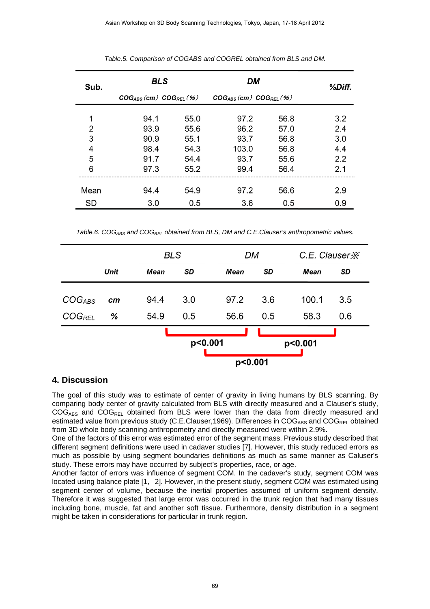| Sub. | <b>BLS</b>                      |      | DM                              | %Diff. |     |
|------|---------------------------------|------|---------------------------------|--------|-----|
|      | $COG_{ABS}(cm)$ $COG_{REL}$ (%) |      | $COG_{ABS}(cm)$ $COG_{REL}$ (%) |        |     |
| 1    | 94.1                            | 55.0 | 97.2                            | 56.8   | 3.2 |
| 2    | 93.9                            | 55.6 | 96.2                            | 57.0   | 2.4 |
| 3    | 90.9                            | 55.1 | 93.7                            | 56.8   | 3.0 |
| 4    | 98.4                            | 54.3 | 103.0                           | 56.8   | 4.4 |
| 5    | 91.7                            | 54.4 | 93.7                            | 55.6   | 2.2 |
| 6    | 97.3                            | 55.2 | 99.4                            | 56.4   | 2.1 |
| Mean | 94.4                            | 54.9 | 97.2                            | 56.6   | 2.9 |
| SD   | 3.0                             | 0.5  | 3.6                             | 0.5    | 0.9 |

*Table.5. Comparison of COGABS and COGREL obtained from BLS and DM.* 

*Table.6. COGABS and COGREL obtained from BLS, DM and C.E.Clauser's anthropometric values.*

|                    |             |             | <b>BLS</b> |             | DM  | C.E. Clauser X |     |
|--------------------|-------------|-------------|------------|-------------|-----|----------------|-----|
|                    | <b>Unit</b> | <b>Mean</b> | SD         | <b>Mean</b> | SD  | Mean           | SD  |
| $COG_{ABS}$        | $\bm{cm}$   | 94.4        | 3.0        | 97.2        | 3.6 | 100.1          | 3.5 |
| COG <sub>REL</sub> | %           | 54.9        | 0.5        | 56.6        | 0.5 | 58.3           | 0.6 |
|                    |             |             |            |             |     |                |     |
|                    |             |             | p<0.001    |             |     | p<0.001        |     |
|                    |             |             |            | p<0.001     |     |                |     |

### **4. Discussion**

The goal of this study was to estimate of center of gravity in living humans by BLS scanning. By comparing body center of gravity calculated from BLS with directly measured and a Clauser's study,  $COG_{ABS}$  and  $COG_{REL}$  obtained from BLS were lower than the data from directly measured and estimated value from previous study (C.E.Clauser, 1969). Differences in  $COG_{ABS}$  and  $COG_{REL}$  obtained from 3D whole body scanning anthropometry and directly measured were within 2.9%.

One of the factors of this error was estimated error of the segment mass. Previous study described that different segment definitions were used in cadaver studies [7]. However, this study reduced errors as much as possible by using segment boundaries definitions as much as same manner as Caluser's study. These errors may have occurred by subject's properties, race, or age.

Another factor of errors was influence of segment COM. In the cadaver's study, segment COM was located using balance plate [1, 2]. However, in the present study, segment COM was estimated using segment center of volume, because the inertial properties assumed of uniform segment density. Therefore it was suggested that large error was occurred in the trunk region that had many tissues including bone, muscle, fat and another soft tissue. Furthermore, density distribution in a segment might be taken in considerations for particular in trunk region.